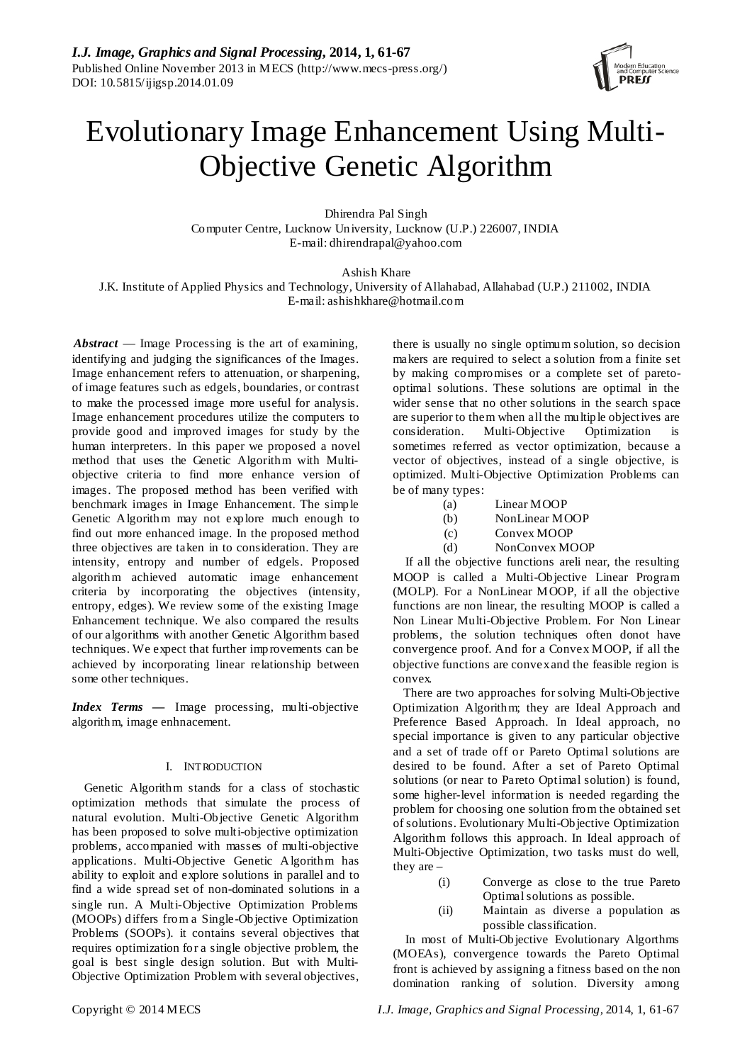

# Evolutionary Image Enhancement Using Multi-Objective Genetic Algorithm

Dhirendra Pal Singh Computer Centre, Lucknow University, Lucknow (U.P.) 226007, INDIA E-mail: dhirendrapal@yahoo.com

Ashish Khare

J.K. Institute of Applied Physics and Technology, University of Allahabad, Allahabad (U.P.) 211002, INDIA E-mail: ashishkhare@hotmail.com

*Abstract* — Image Processing is the art of examining, identifying and judging the significances of the Images. Image enhancement refers to attenuation, or sharpening, of image features such as edgels, boundaries, or contrast to make the processed image more useful for analysis. Image enhancement procedures utilize the computers to provide good and improved images for study by the human interpreters. In this paper we proposed a novel method that uses the Genetic Algorithm with Multiobjective criteria to find more enhance version of images. The proposed method has been verified with benchmark images in Image Enhancement. The simple Genetic Algorithm may not explore much enough to find out more enhanced image. In the proposed method three objectives are taken in to consideration. They are intensity, entropy and number of edgels. Proposed algorithm achieved automatic image enhancement criteria by incorporating the objectives (intensity, entropy, edges). We review some of the existing Image Enhancement technique. We also compared the results of our algorithms with another Genetic Algorithm based techniques. We expect that further improvements can be achieved by incorporating linear relationship between some other techniques.

*Index Terms —* Image processing, multi-objective algorithm, image enhnacement*.*

# I. INTRODUCTION

Genetic Algorithm stands for a class of stochastic optimization methods that simulate the process of natural evolution. Multi-Objective Genetic Algorithm has been proposed to solve multi-objective optimization problems, accompanied with masses of multi-objective applications. Multi-Objective Genetic Algorithm has ability to exploit and explore solutions in parallel and to find a wide spread set of non-dominated solutions in a single run. A Multi-Objective Optimization Problems (MOOPs) differs from a Single-Objective Optimization Problems (SOOPs). it contains several objectives that requires optimization for a single objective problem, the goal is best single design solution. But with Multi-Objective Optimization Problem with several objectives,

there is usually no single optimum solution, so decision makers are required to select a solution from a finite set by making compromises or a complete set of paretooptimal solutions. These solutions are optimal in the wider sense that no other solutions in the search space are superior to them when all the multiple objectives are consideration. Multi-Objective Optimization is sometimes referred as vector optimization, because a vector of objectives, instead of a single objective, is optimized. Multi-Objective Optimization Problems can be of many types:<br>(a)

- Linear MOOP
- (b) NonLinear MOOP
- (c) Convex MOOP
- (d) NonConvex MOOP

If all the objective functions areli near, the resulting MOOP is called a Multi-Objective Linear Program (MOLP). For a NonLinear MOOP, if all the objective functions are non linear, the resulting MOOP is called a Non Linear Multi-Objective Problem. For Non Linear problems, the solution techniques often donot have convergence proof. And for a Convex MOOP, if all the objective functions are convex and the feasible region is convex.

There are two approaches for solving Multi-Objective Optimization Algorithm; they are Ideal Approach and Preference Based Approach. In Ideal approach, no special importance is given to any particular objective and a set of trade off or Pareto Optimal solutions are desired to be found. After a set of Pareto Optimal solutions (or near to Pareto Optimal solution) is found, some higher-level information is needed regarding the problem for choosing one solution from the obtained set of solutions. Evolutionary Multi-Objective Optimization Algorithm follows this approach. In Ideal approach of Multi-Objective Optimization, two tasks must do well, they are –

- (i) Converge as close to the true Pareto Optimal solutions as possible.
- (ii) Maintain as diverse a population as possible classification.

In most of Multi-Objective Evolutionary Algorthms (MOEAs), convergence towards the Pareto Optimal front is achieved by assigning a fitness based on the non domination ranking of solution. Diversity among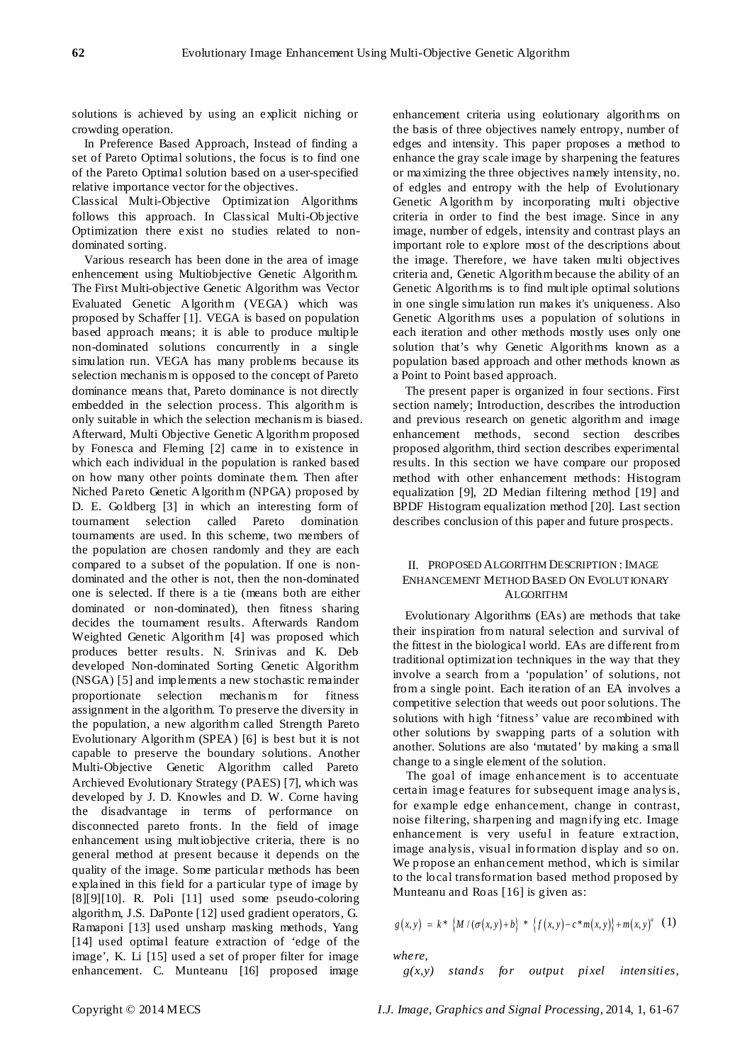solutions is achieved by using an explicit niching or crowding operation.

In Preference Based Approach, Instead of finding a set of Pareto Optimal solutions, the focus is to find one of the Pareto Optimal solution based on a user-specified relative importance vector for the objectives.

Classical Multi-Objective Optimization Algorithms follows this approach. In Classical Multi-Objective Optimization there exist no studies related to nondominated sorting.

Various research has been done in the area of image enhencement using Multiobjective Genetic Algorithm. The First Multi-objective Genetic Algorithm was Vector Evaluated Genetic Algorithm (VEGA) which was proposed by Schaffer [1]. VEGA is based on population based approach means; it is able to produce multiple non-dominated solutions concurrently in a single simulation run. VEGA has many problems because its selection mechanis m is opposed to the concept of Pareto dominance means that, Pareto dominance is not directly embedded in the selection process. This algorithm is only suitable in which the selection mechanis m is biased. Afterward, Multi Objective Genetic Algorithm proposed by Fonesca and Fleming [2] came in to existence in which each individual in the population is ranked based on how many other points dominate them. Then after Niched Pareto Genetic Algorithm (NPGA) proposed by D. E. Goldberg [3] in which an interesting form of tournament selection called Pareto domination tournaments are used. In this scheme, two members of the population are chosen randomly and they are each compared to a subset of the population. If one is nondominated and the other is not, then the non-dominated one is selected. If there is a tie (means both are either dominated or non-dominated), then fitness sharing decides the tournament results. Afterwards Random Weighted Genetic Algorithm [4] was proposed which produces better results. N. Srinivas and K. Deb developed Non-dominated Sorting Genetic Algorithm (NSGA) [5] and implements a new stochastic remainder proportionate selection mechanis m for fitness assignment in the algorithm. To preserve the diversity in the population, a new algorithm called Strength Pareto Evolutionary Algorithm (SPEA) [6] is best but it is not capable to preserve the boundary solutions. Another Multi-Objective Genetic Algorithm called Pareto Archieved Evolutionary Strategy (PAES) [7], which was developed by J. D. Knowles and D. W. Corne having the disadvantage in terms of performance on disconnected pareto fronts. In the field of image enhancement using multiobjective criteria, there is no general method at present because it depends on the quality of the image. Some particular methods has been explained in this field for a particular type of image by [8][9][10]. R. Poli [11] used some pseudo-coloring algorithm, J.S. DaPonte [12] used gradient operators, G. Ramaponi [13] used unsharp masking methods, Yang [14] used optimal feature extraction of 'edge of the image', K. Li [15] used a set of proper filter for image enhancement. C. Munteanu [16] proposed image

enhancement criteria using eolutionary algorithms on the basis of three objectives namely entropy, number of edges and intensity. This paper proposes a method to enhance the gray scale image by sharpening the features or maximizing the three objectives namely intensity, no. of edgles and entropy with the help of Evolutionary Genetic Algorithm by incorporating multi objective criteria in order to find the best image. Since in any image, number of edgels, intensity and contrast plays an important role to explore most of the descriptions about the image. Therefore, we have taken multi objectives criteria and, Genetic Algorithm because the ability of an Genetic Algorithms is to find multiple optimal solutions in one single simulation run makes it's uniqueness. Also Genetic Algorithms uses a population of solutions in each iteration and other methods mostly uses only one solution that's why Genetic Algorithms known as a population based approach and other methods known as a Point to Point based approach.

The present paper is organized in four sections. First section namely; Introduction, describes the introduction and previous research on genetic algorithm and image enhancement methods, second section describes proposed algorithm, third section describes experimental results. In this section we have compare our proposed method with other enhancement methods: Histogram equalization [9], 2D Median filtering method [19] and BPDF Histogram equalization method [20]. Last section describes conclusion of this paper and future prospects.

## II. PROPOSED ALGORITHM DESCRIPTION : IMAGE ENHANCEMENT METHOD BASED ON EVOLUTIONARY ALGORITHM

Evolutionary Algorithms (EAs) are methods that take their inspiration from natural selection and survival of the fittest in the biological world. EAs are different from traditional optimization techniques in the way that they involve a search from a 'population' of solutions, not from a single point. Each iteration of an EA involves a competitive selection that weeds out poor solutions. The solutions with high 'fitness' value are recombined with other solutions by swapping parts of a solution with another. Solutions are also 'mutated' by making a small change to a single element of the solution.

The goal of image enhancement is to accentuate certain image features for subsequent image analys is, for example edge enhancement, change in contrast, noise filtering, sharpening and magnifying etc. Image enhancement is very useful in feature extraction, image analysis, visual information display and so on. We propose an enhancement method, which is similar to the local transformation based method proposed by Munteanu and Roas [16] is given as:

$$
g(x, y) = k^* \{M / (\sigma(x, y) + b) * \{f(x, y) - c^* m(x, y)\} + m(x, y)^a \quad (1)
$$

*where,* 

*g(x,y) stands for output pixel intensities,*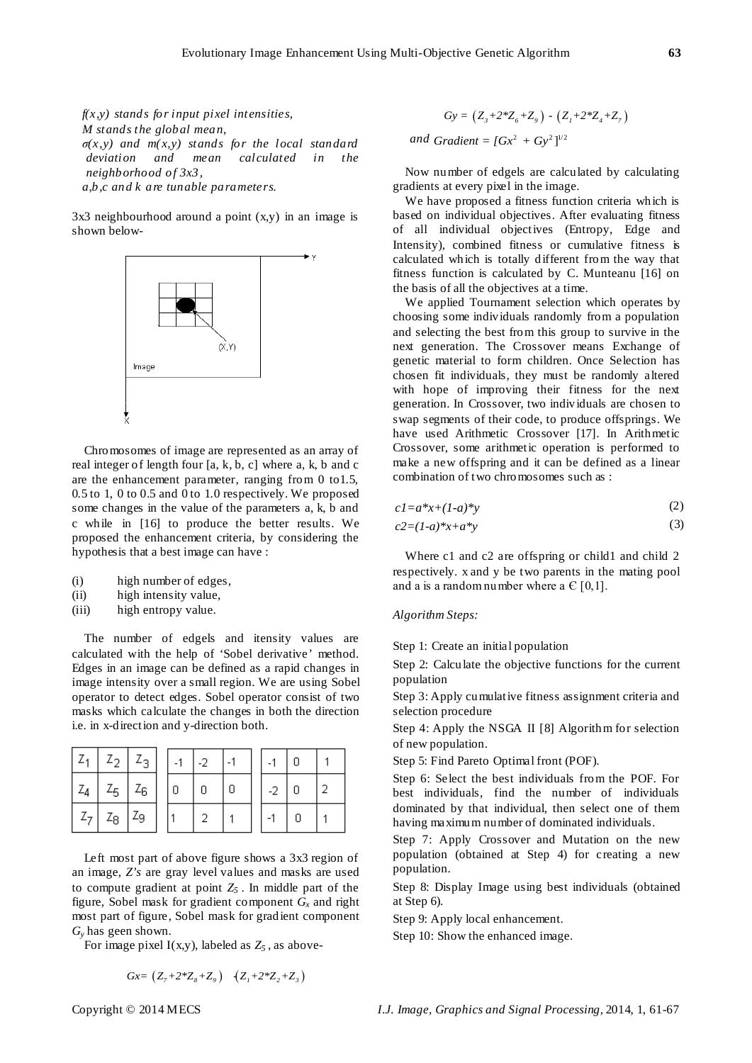*f(x,y) stands for input pixel intensities, M stands the global mean, σ(x,y) and m( x,y) stands for the local standard deviation and mean calculated in the neighborhood of 3x3, a,b,c and k are tunable parameters.*

3x3 neighbourhood around a point (x,y) in an image is shown below-



Chromosomes of image are represented as an array of real integer of length four [a, k, b, c] where a, k, b and c are the enhancement parameter, ranging from 0 to1.5, 0.5 to 1, 0 to 0.5 and 0 to 1.0 respectively. We proposed some changes in the value of the parameters a, k, b and c while in [16] to produce the better results. We proposed the enhancement criteria, by considering the hypothesis that a best image can have :

- (i) high number of edges,
- (ii) high intensity value,
- (iii) high entropy value.

The number of edgels and itensity values are calculated with the help of 'Sobel derivative' method. Edges in an image can be defined as a rapid changes in image intensity over a small region. We are using Sobel operator to detect edges. Sobel operator consist of two masks which calculate the changes in both the direction i.e. in x-direction and y-direction both.

| $L_{1}$         | $Z_{2}$       | $Z_{\rm R}$ . | $-1$ |  |      |  |
|-----------------|---------------|---------------|------|--|------|--|
| $\mid Z_A \mid$ |               | $Z_5$   $Z_6$ | Ω    |  | $-2$ |  |
| $ Z_7 $         | $Z_8$   $Z_9$ |               |      |  |      |  |

Left most part of above figure shows a 3x3 region of an image, *Z's* are gray level values and masks are used to compute gradient at point  $Z_5$ . In middle part of the figure, Sobel mask for gradient component  $G_x$  and right most part of figure, Sobel mask for gradient component *Gy* has geen shown.

For image pixel  $I(x,y)$ , labeled as  $Z_5$ , as above-

$$
Gx = (Z_7 + 2 \cdot Z_8 + Z_9) \quad (Z_1 + 2 \cdot Z_2 + Z_3)
$$

 $Gy = (Z_3 + 2 \cdot Z_6 + Z_9) - (Z_1 + 2 \cdot Z_4 + Z_7)$ *and Gradient* =  $[Gx^2 + Gy^2]^{1/2}$ 

Now number of edgels are calculated by calculating gradients at every pixel in the image.

We have proposed a fitness function criteria which is based on individual objectives. After evaluating fitness of all individual objectives (Entropy, Edge and Intensity), combined fitness or cumulative fitness is calculated which is totally different from the way that fitness function is calculated by C. Munteanu [16] on the basis of all the objectives at a time.

We applied Tournament selection which operates by choosing some individuals randomly from a population and selecting the best from this group to survive in the next generation. The Crossover means Exchange of genetic material to form children. Once Selection has chosen fit individuals, they must be randomly altered with hope of improving their fitness for the next generation. In Crossover, two individuals are chosen to swap segments of their code, to produce offsprings. We have used Arithmetic Crossover [17]. In Arithmetic Crossover, some arithmetic operation is performed to make a new offspring and it can be defined as a linear combination of two chromosomes such as :

$$
cI = a^*x + (1-a)^*y \tag{2}
$$

$$
c2 = (1-a)*x + a*y \tag{3}
$$

Where c1 and c2 are offspring or child1 and child 2 respectively. x and y be two parents in the mating pool and a is a random number where a  $\in$  [0,1].

#### *Algorithm Steps:*

Step 1: Create an initial population

Step 2: Calculate the objective functions for the current population

Step 3: Apply cumulative fitness assignment criteria and selection procedure

Step 4: Apply the NSGA II [8] Algorithm for selection of new population.

Step 5: Find Pareto Optimal front (POF).

Step 6: Select the best individuals from the POF. For best individuals, find the number of individuals dominated by that individual, then select one of them having maximum number of dominated individuals.

Step 7: Apply Crossover and Mutation on the new population (obtained at Step 4) for creating a new population.

Step 8: Display Image using best individuals (obtained at Step 6).

Step 9: Apply local enhancement.

Step 10: Show the enhanced image.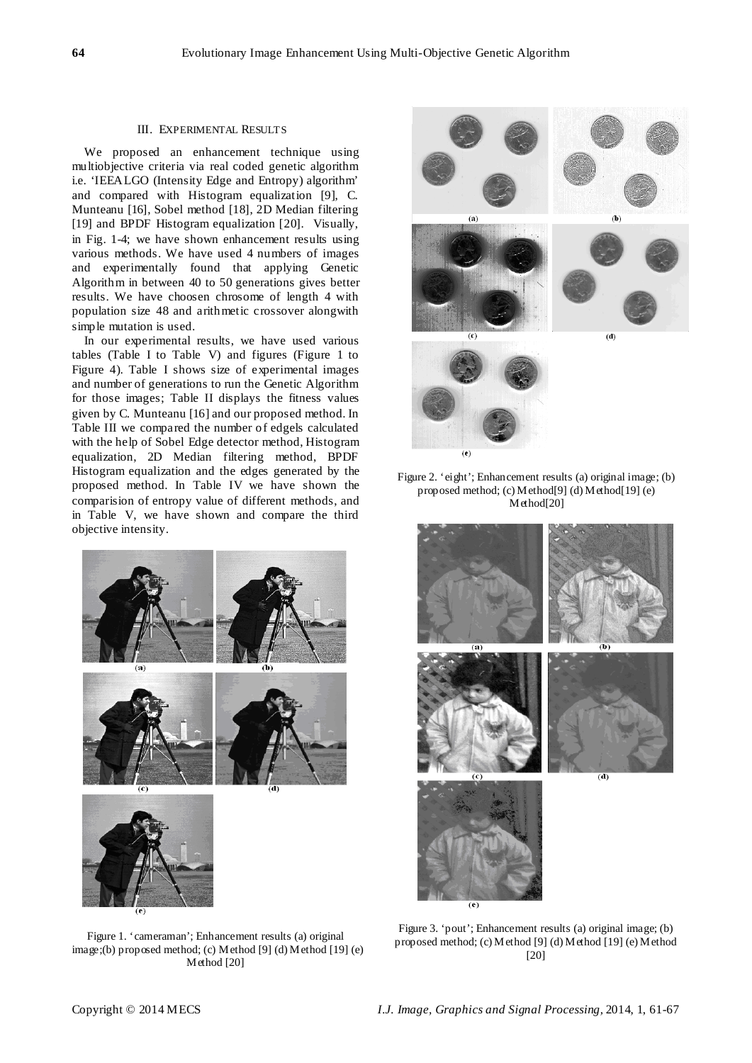#### III. EXPERIMENTAL RESULTS

We proposed an enhancement technique using multiobjective criteria via real coded genetic algorithm i.e. 'IEEALGO (Intensity Edge and Entropy) algorithm' and compared with Histogram equalization [9], C. Munteanu [16], Sobel method [18], 2D Median filtering [19] and BPDF Histogram equalization [20]. Visually, in Fig. 1-4; we have shown enhancement results using various methods. We have used 4 numbers of images and experimentally found that applying Genetic Algorithm in between 40 to 50 generations gives better results. We have choosen chrosome of length 4 with population size 48 and arithmetic crossover alongwith simple mutation is used.

In our experimental results, we have used various tables (Table I to Table V) and figures (Figure 1 to Figure 4). Table I shows size of experimental images and number of generations to run the Genetic Algorithm for those images; Table II displays the fitness values given by C. Munteanu [16] and our proposed method. In Table III we compared the number of edgels calculated with the help of Sobel Edge detector method, Histogram equalization, 2D Median filtering method, BPDF Histogram equalization and the edges generated by the proposed method. In Table IV we have shown the comparision of entropy value of different methods, and in Table V, we have shown and compare the third objective intensity.



Figure 1. 'cameraman'; Enhancement results (a) original image;(b) proposed method; (c) Method [9] (d) Method [19] (e) Method [20]







Figure 3. 'pout'; Enhancement results (a) original image; (b) proposed method; (c) Method [9] (d) Method [19] (e) Method [20]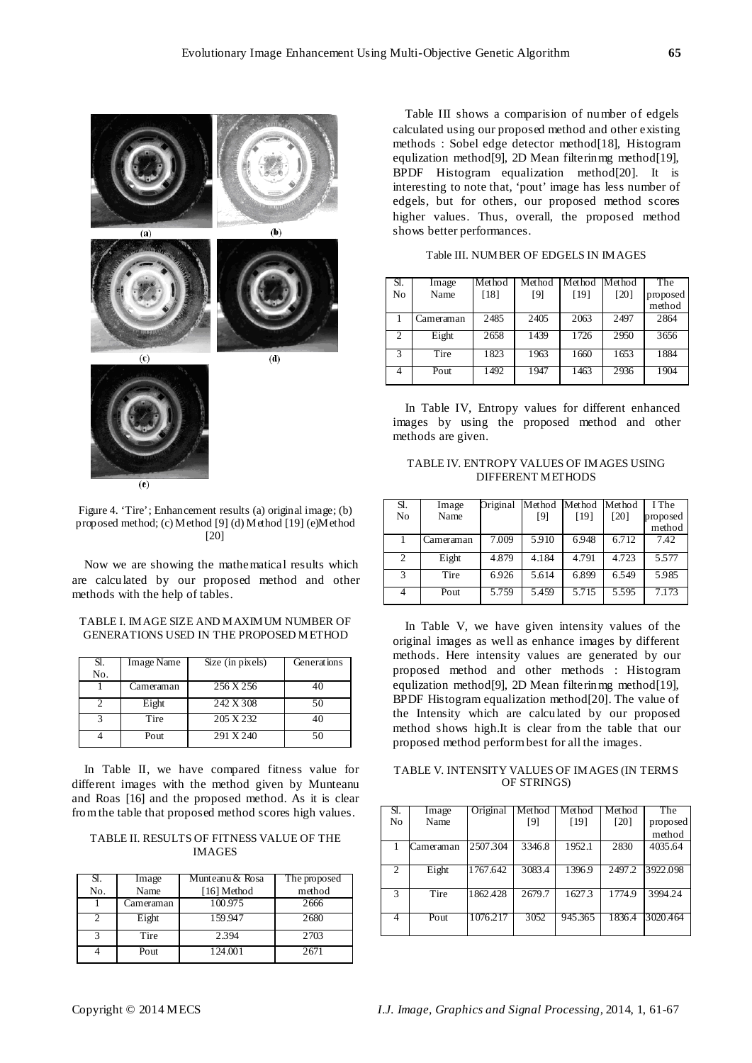

 $(e)$ 

Figure 4. 'Tire'; Enhancement results (a) original image; (b) proposed method; (c) Method [9] (d) Method [19] (e)Method [20]

Now we are showing the mathematical results which are calculated by our proposed method and other methods with the help of tables.

## TABLE I. IMAGE SIZE AND MAXIMUM NUMBER OF GENERATIONS USED IN THE PROPOSED METHOD

| Sl. | Image Name | Size (in pixels) | Generations |
|-----|------------|------------------|-------------|
| No. |            |                  |             |
|     | Cameraman  | 256 X 256        | 40          |
|     | Eight      | 242 X 308        | 50          |
|     | Tire       | 205 X 232        | 40          |
|     | Pout       | 291 X 240        | 50          |

In Table II, we have compared fitness value for different images with the method given by Munteanu and Roas [16] and the proposed method. As it is clear from the table that proposed method scores high values.

TABLE II. RESULTS OF FITNESS VALUE OF THE IMAGES

| Sl. | Image     | Munteanu & Rosa | The proposed |
|-----|-----------|-----------------|--------------|
| No. | Name      | [16] Method     | method       |
|     | Cameraman | 100.975         | 2666         |
|     | Eight     | 159.947         | 2680         |
| 2   | Tire      | 2.394           | 2703         |
|     | Pout      | 124.001         | 2671         |

Table III shows a comparision of number of edgels calculated using our proposed method and other existing methods : Sobel edge detector method[18], Histogram equlization method[9], 2D Mean filterinmg method[19], BPDF Histogram equalization method[20]. It is interesting to note that, 'pout' image has less number of edgels, but for others, our proposed method scores higher values. Thus, overall, the proposed method shows better performances.

| Sl.            | Image     | Method | Method | Method | Method | The      |
|----------------|-----------|--------|--------|--------|--------|----------|
| No             | Name      | [18]   | [9]    | [19]   | [20]   | proposed |
|                |           |        |        |        |        | method   |
|                | Cameraman | 2485   | 2405   | 2063   | 2497   | 2864     |
|                |           |        |        |        |        |          |
| $\overline{c}$ | Eight     | 2658   | 1439   | 1726   | 2950   | 3656     |
|                |           |        |        |        |        |          |
| 3              | Tire      | 1823   | 1963   | 1660   | 1653   | 1884     |
|                |           |        |        |        |        |          |
| 4              | Pout      | 1492   | 1947   | 1463   | 2936   | 1904     |
|                |           |        |        |        |        |          |

Table III. NUMBER OF EDGELS IN IMAGES

In Table IV, Entropy values for different enhanced images by using the proposed method and other methods are given.

TABLE IV. ENTROPY VALUES OF IMAGES USING DIFFERENT METHODS

| Sl.            | Image     | Original |       | Method Method Method |       | I The    |
|----------------|-----------|----------|-------|----------------------|-------|----------|
| No             | Name      |          | [9]   | [19]                 | [20]  | proposed |
|                |           |          |       |                      |       | method   |
|                | Cameraman | 7.009    | 5.910 | 6.948                | 6.712 | 7.42     |
| $\overline{c}$ | Eight     | 4.879    | 4.184 | 4.791                | 4.723 | 5.577    |
| 3              | Tire      | 6.926    | 5.614 | 6.899                | 6.549 | 5.985    |
| 4              | Pout      | 5.759    | 5.459 | 5.715                | 5.595 | 7.173    |

In Table V, we have given intensity values of the original images as well as enhance images by different methods. Here intensity values are generated by our proposed method and other methods : Histogram equlization method[9], 2D Mean filterinmg method[19], BPDF Histogram equalization method[20]. The value of the Intensity which are calculated by our proposed method shows high.It is clear from the table that our proposed method perform best for all the images.

TABLE V. INTENSITY VALUES OF IMAGES (IN TERMS OF STRINGS)

| Sl.            | Image     | Original | Method | Method  | Method | The      |
|----------------|-----------|----------|--------|---------|--------|----------|
|                |           |          |        |         |        |          |
| No             | Name      |          | [9]    | [19]    | [20]   | proposed |
|                |           |          |        |         |        | method   |
|                | Cameraman | 2507.304 | 3346.8 | 1952.1  | 2830   | 4035.64  |
|                |           |          |        |         |        |          |
| $\mathfrak{D}$ | Eight     | 1767.642 | 3083.4 | 1396.9  | 2497.2 | 3922.098 |
|                |           |          |        |         |        |          |
| 3              | Tire      | 1862.428 | 2679.7 | 1627.3  | 1774.9 | 3994.24  |
|                |           |          |        |         |        |          |
| 4              | Pout      | 1076.217 | 3052   | 945.365 | 1836.4 | 3020.464 |
|                |           |          |        |         |        |          |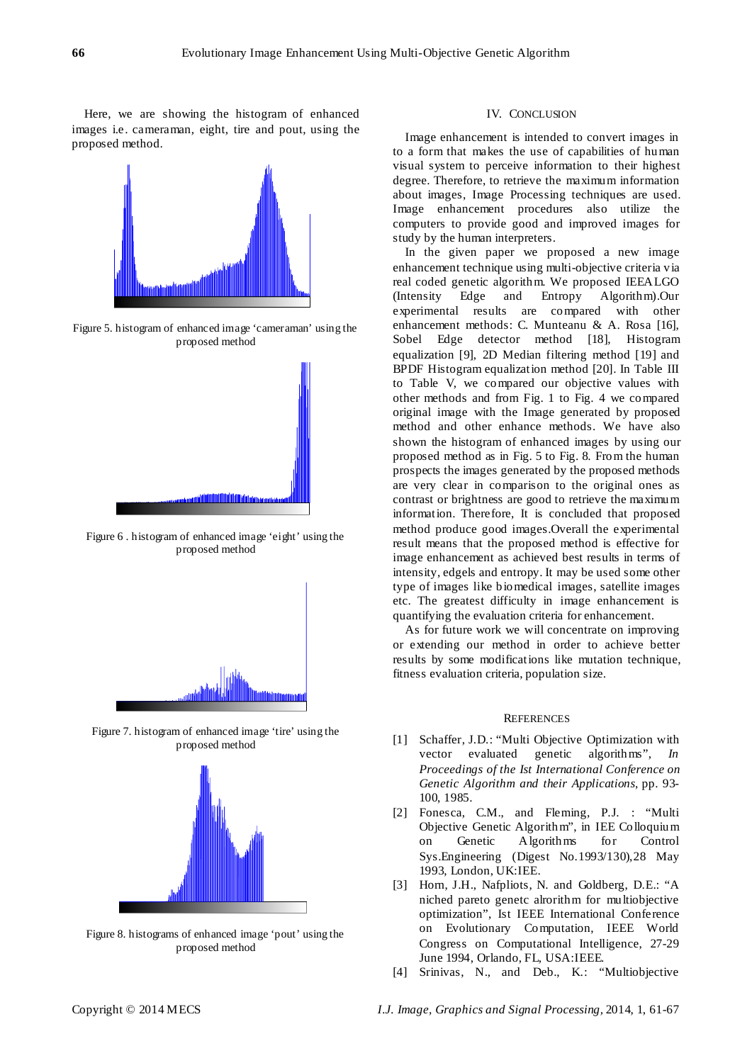Here, we are showing the histogram of enhanced images i.e. cameraman, eight, tire and pout, using the proposed method.



Figure 5. histogram of enhanced image 'cameraman' using the proposed method



Figure 6 . histogram of enhanced image 'eight' using the proposed method



Figure 7. histogram of enhanced image 'tire' using the proposed method



Figure 8. histograms of enhanced image 'pout' using the proposed method

## IV. CONCLUSION

Image enhancement is intended to convert images in to a form that makes the use of capabilities of human visual system to perceive information to their highest degree. Therefore, to retrieve the maximum information about images, Image Processing techniques are used. Image enhancement procedures also utilize the computers to provide good and improved images for study by the human interpreters.

In the given paper we proposed a new image enhancement technique using multi-objective criteria via real coded genetic algorithm. We proposed IEEALGO (Intensity Edge and Entropy Algorithm).Our experimental results are compared with other enhancement methods: C. Munteanu & A. Rosa [16], Sobel Edge detector method [18], Histogram equalization [9], 2D Median filtering method [19] and BPDF Histogram equalization method [20]. In Table III to Table V, we compared our objective values with other methods and from Fig. 1 to Fig. 4 we compared original image with the Image generated by proposed method and other enhance methods. We have also shown the histogram of enhanced images by using our proposed method as in Fig. 5 to Fig. 8. From the human prospects the images generated by the proposed methods are very clear in comparison to the original ones as contrast or brightness are good to retrieve the maximum information. Therefore, It is concluded that proposed method produce good images.Overall the experimental result means that the proposed method is effective for image enhancement as achieved best results in terms of intensity, edgels and entropy. It may be used some other type of images like biomedical images, satellite images etc. The greatest difficulty in image enhancement is quantifying the evaluation criteria for enhancement.

As for future work we will concentrate on improving or extending our method in order to achieve better results by some modifications like mutation technique, fitness evaluation criteria, population size.

#### **REFERENCES**

- [1] Schaffer, J.D.: "Multi Objective Optimization with vector evaluated genetic algorithms", *In Proceedings of the Ist International Conference on Genetic Algorithm and their Applications,* pp. 93- 100, 1985.
- [2] Fonesca, C.M., and Fleming, P.J. : "Multi Objective Genetic Algorithm", in IEE Colloquium on Genetic Algorithms for Control Sys.Engineering (Digest No.1993/130),28 May 1993, London, UK:IEE.
- [3] Horn, J.H., Nafpliots, N. and Goldberg, D.E.: "A niched pareto genetc alrorithm for multiobjective optimization", Ist IEEE International Conference on Evolutionary Computation, IEEE World Congress on Computational Intelligence, 27-29 June 1994, Orlando, FL, USA:IEEE.
- [4] Srinivas, N., and Deb., K.: "Multiobjective